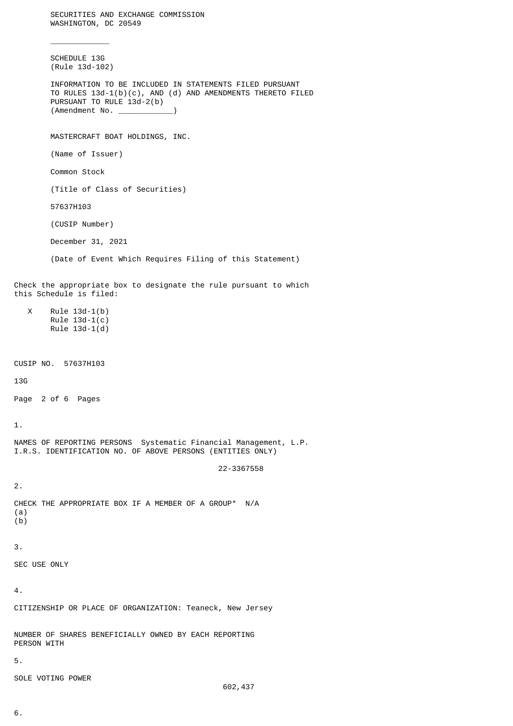SECURITIES AND EXCHANGE COMMISSION WASHINGTON, DC 20549  $\frac{1}{2}$  ,  $\frac{1}{2}$  ,  $\frac{1}{2}$  ,  $\frac{1}{2}$  ,  $\frac{1}{2}$  ,  $\frac{1}{2}$ SCHEDULE 13G (Rule 13d-102) INFORMATION TO BE INCLUDED IN STATEMENTS FILED PURSUANT TO RULES 13d-1(b)(c), AND (d) AND AMENDMENTS THERETO FILED PURSUANT TO RULE 13d-2(b) (Amendment No. \_\_\_\_\_\_\_\_\_\_\_\_) MASTERCRAFT BOAT HOLDINGS, INC. (Name of Issuer) Common Stock (Title of Class of Securities) 57637H103 (CUSIP Number) December 31, 2021 (Date of Event Which Requires Filing of this Statement) Check the appropriate box to designate the rule pursuant to which this Schedule is filed: X Rule 13d-1(b) Rule  $13d-1(c)$ Rule 13d-1(d) CUSIP NO. 57637H103 13G Page 2 of 6 Pages 1. NAMES OF REPORTING PERSONS Systematic Financial Management, L.P. I.R.S. IDENTIFICATION NO. OF ABOVE PERSONS (ENTITIES ONLY) 22-3367558 2. CHECK THE APPROPRIATE BOX IF A MEMBER OF A GROUP\* N/A (a) (b) 3. SEC USE ONLY 4. CITIZENSHIP OR PLACE OF ORGANIZATION: Teaneck, New Jersey NUMBER OF SHARES BENEFICIALLY OWNED BY EACH REPORTING PERSON WITH 5. SOLE VOTING POWER 602,437

6.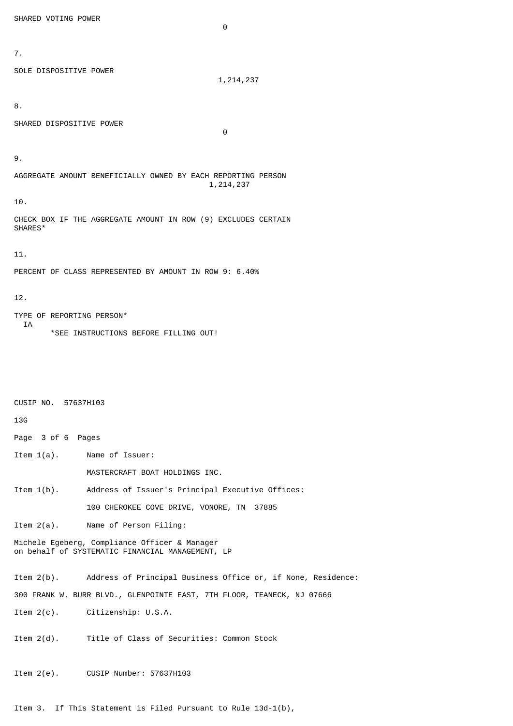SHARED VOTING POWER

0

7.

SOLE DISPOSITIVE POWER

1,214,237

8.

SHARED DISPOSITIVE POWER

0

9.

AGGREGATE AMOUNT BENEFICIALLY OWNED BY EACH REPORTING PERSON 1,214,237

10.

CHECK BOX IF THE AGGREGATE AMOUNT IN ROW (9) EXCLUDES CERTAIN SHARES\*

11.

PERCENT OF CLASS REPRESENTED BY AMOUNT IN ROW 9: 6.40%

## 12.

IA

- TYPE OF REPORTING PERSON\*
	- \*SEE INSTRUCTIONS BEFORE FILLING OUT!

CUSIP NO. 57637H103 13G Page 3 of 6 Pages Item 1(a). Name of Issuer: MASTERCRAFT BOAT HOLDINGS INC. Item 1(b). Address of Issuer's Principal Executive Offices: 100 CHEROKEE COVE DRIVE, VONORE, TN 37885 Item 2(a). Name of Person Filing: Michele Egeberg, Compliance Officer & Manager on behalf of SYSTEMATIC FINANCIAL MANAGEMENT, LP Item 2(b). Address of Principal Business Office or, if None, Residence: 300 FRANK W. BURR BLVD., GLENPOINTE EAST, 7TH FLOOR, TEANECK, NJ 07666 Item 2(c). Citizenship: U.S.A. Item 2(d). Title of Class of Securities: Common Stock Item 2(e). CUSIP Number: 57637H103

Item 3. If This Statement is Filed Pursuant to Rule 13d-1(b),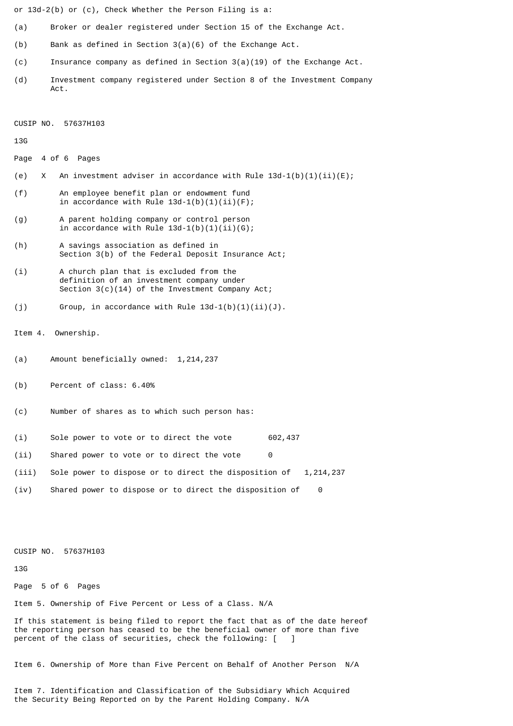or 13d-2(b) or (c), Check Whether the Person Filing is a:

- (a) Broker or dealer registered under Section 15 of the Exchange Act.
- (b) Bank as defined in Section 3(a)(6) of the Exchange Act.
- (c) Insurance company as defined in Section 3(a)(19) of the Exchange Act.
- (d) Investment company registered under Section 8 of the Investment Company Act.

CUSIP NO. 57637H103

13G

Page 4 of 6 Pages

- (e) X An investment adviser in accordance with Rule  $13d-1(b)(1)(ii)(E)$ ;
- (f) An employee benefit plan or endowment fund in accordance with Rule  $13d-1(b)(1)(ii)(F);$
- (g) A parent holding company or control person in accordance with Rule  $13d-1(b)(1)(ii)(G);$
- (h) A savings association as defined in Section 3(b) of the Federal Deposit Insurance Act;
- (i) A church plan that is excluded from the definition of an investment company under Section  $3(c)(14)$  of the Investment Company Act;
- (j) Group, in accordance with Rule  $13d-1(b)(1)(ii)(J)$ .

Item 4. Ownership.

- (a) Amount beneficially owned: 1,214,237
- (b) Percent of class: 6.40%
- (c) Number of shares as to which such person has:
- (i) Sole power to vote or to direct the vote 602,437
- (ii) Shared power to vote or to direct the vote 0
- (iii) Sole power to dispose or to direct the disposition of 1,214,237
- (iv) Shared power to dispose or to direct the disposition of 0

CUSIP NO. 57637H103

13G

Page 5 of 6 Pages

Item 5. Ownership of Five Percent or Less of a Class. N/A

If this statement is being filed to report the fact that as of the date hereof the reporting person has ceased to be the beneficial owner of more than five percent of the class of securities, check the following: [ ]

Item 6. Ownership of More than Five Percent on Behalf of Another Person N/A

Item 7. Identification and Classification of the Subsidiary Which Acquired the Security Being Reported on by the Parent Holding Company. N/A